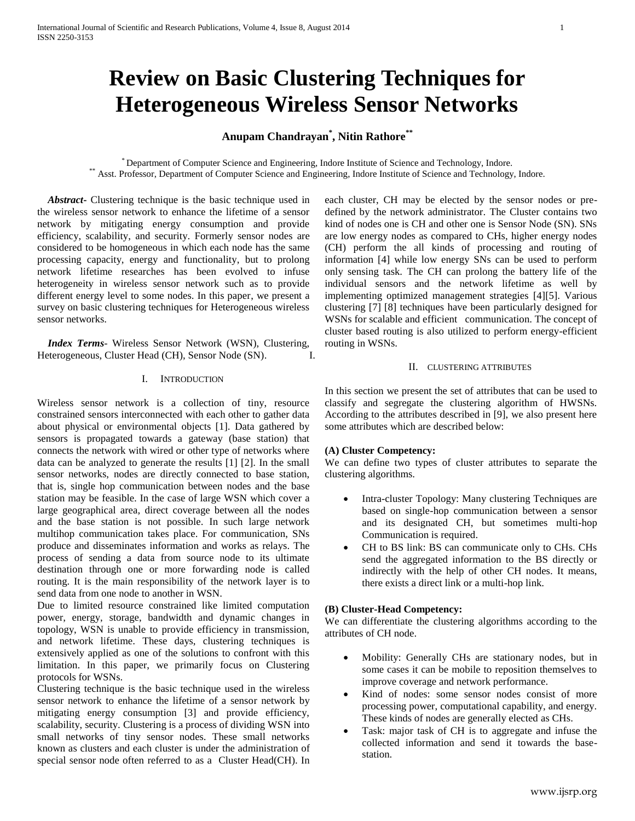# **Review on Basic Clustering Techniques for Heterogeneous Wireless Sensor Networks**

# **Anupam Chandrayan\* , Nitin Rathore\*\***

\* Department of Computer Science and Engineering, Indore Institute of Science and Technology, Indore. \*\* Asst. Professor, Department of Computer Science and Engineering, Indore Institute of Science and Technology, Indore.

 *Abstract***-** Clustering technique is the basic technique used in the wireless sensor network to enhance the lifetime of a sensor network by mitigating energy consumption and provide efficiency, scalability, and security. Formerly sensor nodes are considered to be homogeneous in which each node has the same processing capacity, energy and functionality, but to prolong network lifetime researches has been evolved to infuse heterogeneity in wireless sensor network such as to provide different energy level to some nodes. In this paper, we present a survey on basic clustering techniques for Heterogeneous wireless sensor networks.

 *Index Terms*- Wireless Sensor Network (WSN), Clustering, Heterogeneous, Cluster Head (CH), Sensor Node (SN). I.

#### I. INTRODUCTION

Wireless sensor network is a collection of tiny, resource constrained sensors interconnected with each other to gather data about physical or environmental objects [1]. Data gathered by sensors is propagated towards a gateway (base station) that connects the network with wired or other type of networks where data can be analyzed to generate the results [1] [2]. In the small sensor networks, nodes are directly connected to base station, that is, single hop communication between nodes and the base station may be feasible. In the case of large WSN which cover a large geographical area, direct coverage between all the nodes and the base station is not possible. In such large network multihop communication takes place. For communication, SNs produce and disseminates information and works as relays. The process of sending a data from source node to its ultimate destination through one or more forwarding node is called routing. It is the main responsibility of the network layer is to send data from one node to another in WSN.

Due to limited resource constrained like limited computation power, energy, storage, bandwidth and dynamic changes in topology, WSN is unable to provide efficiency in transmission, and network lifetime. These days, clustering techniques is extensively applied as one of the solutions to confront with this limitation. In this paper, we primarily focus on Clustering protocols for WSNs.

Clustering technique is the basic technique used in the wireless sensor network to enhance the lifetime of a sensor network by mitigating energy consumption [3] and provide efficiency, scalability, security. Clustering is a process of dividing WSN into small networks of tiny sensor nodes. These small networks known as clusters and each cluster is under the administration of special sensor node often referred to as a Cluster Head(CH). In each cluster, CH may be elected by the sensor nodes or predefined by the network administrator. The Cluster contains two kind of nodes one is CH and other one is Sensor Node (SN). SNs are low energy nodes as compared to CHs, higher energy nodes (CH) perform the all kinds of processing and routing of information [4] while low energy SNs can be used to perform only sensing task. The CH can prolong the battery life of the individual sensors and the network lifetime as well by implementing optimized management strategies [4][5]. Various clustering [7] [8] techniques have been particularly designed for WSNs for scalable and efficient communication. The concept of cluster based routing is also utilized to perform energy-efficient routing in WSNs.

#### II. CLUSTERING ATTRIBUTES

In this section we present the set of attributes that can be used to classify and segregate the clustering algorithm of HWSNs. According to the attributes described in [9], we also present here some attributes which are described below:

#### **(A) Cluster Competency:**

We can define two types of cluster attributes to separate the clustering algorithms.

- Intra-cluster Topology: Many clustering Techniques are based on single-hop communication between a sensor and its designated CH, but sometimes multi-hop Communication is required.
- CH to BS link: BS can communicate only to CHs. CHs send the aggregated information to the BS directly or indirectly with the help of other CH nodes. It means, there exists a direct link or a multi-hop link.

### **(B) Cluster-Head Competency:**

We can differentiate the clustering algorithms according to the attributes of CH node.

- Mobility: Generally CHs are stationary nodes, but in some cases it can be mobile to reposition themselves to improve coverage and network performance.
- Kind of nodes: some sensor nodes consist of more processing power, computational capability, and energy. These kinds of nodes are generally elected as CHs.
- Task: major task of CH is to aggregate and infuse the collected information and send it towards the basestation.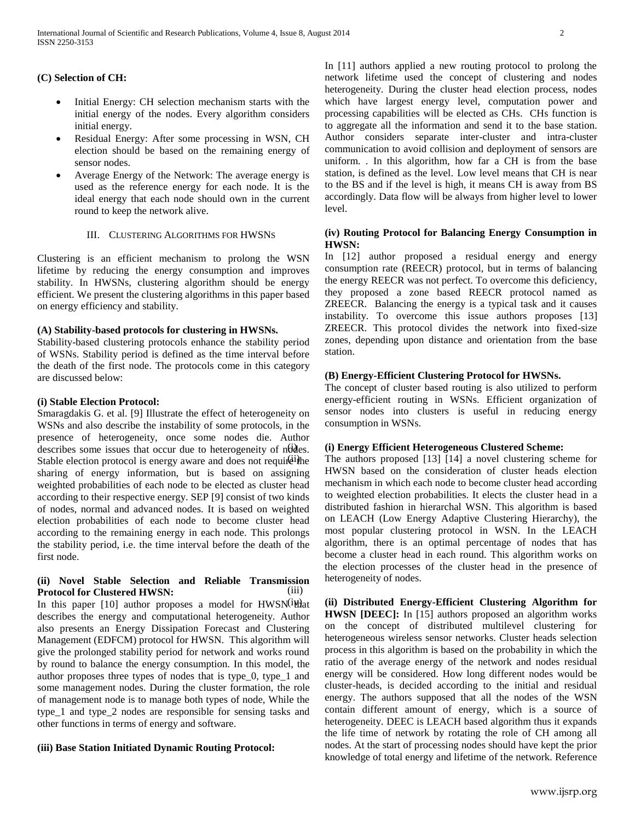# **(C) Selection of CH:**

- Initial Energy: CH selection mechanism starts with the initial energy of the nodes. Every algorithm considers initial energy.
- Residual Energy: After some processing in WSN, CH election should be based on the remaining energy of sensor nodes.
- Average Energy of the Network: The average energy is used as the reference energy for each node. It is the ideal energy that each node should own in the current round to keep the network alive.

### III. CLUSTERING ALGORITHMS FOR HWSNS

Clustering is an efficient mechanism to prolong the WSN lifetime by reducing the energy consumption and improves stability. In HWSNs, clustering algorithm should be energy efficient. We present the clustering algorithms in this paper based on energy efficiency and stability.

# **(A) Stability-based protocols for clustering in HWSNs.**

Stability-based clustering protocols enhance the stability period of WSNs. Stability period is defined as the time interval before the death of the first node. The protocols come in this category are discussed below:

# **(i) Stable Election Protocol:**

Smaragdakis G. et al. [9] Illustrate the effect of heterogeneity on WSNs and also describe the instability of some protocols, in the presence of heterogeneity, once some nodes die. Author describes some issues that occur due to heterogeneity of nodes. Stable election protocol is energy aware and does not require the sharing of energy information, but is based on assigning weighted probabilities of each node to be elected as cluster head according to their respective energy. SEP [9] consist of two kinds of nodes, normal and advanced nodes. It is based on weighted election probabilities of each node to become cluster head according to the remaining energy in each node. This prolongs the stability period, i.e. the time interval before the death of the first node.

#### **(ii) Novel Stable Selection and Reliable Transmission Protocol for Clustered HWSN:** (iii)

In this paper [10] author proposes a model for HWSN(ill) at describes the energy and computational heterogeneity. Author also presents an Energy Dissipation Forecast and Clustering Management (EDFCM) protocol for HWSN. This algorithm will give the prolonged stability period for network and works round by round to balance the energy consumption. In this model, the author proposes three types of nodes that is type\_0, type\_1 and some management nodes. During the cluster formation, the role of management node is to manage both types of node, While the type 1 and type 2 nodes are responsible for sensing tasks and other functions in terms of energy and software.

# **(iii) Base Station Initiated Dynamic Routing Protocol:**

In [11] authors applied a new routing protocol to prolong the network lifetime used the concept of clustering and nodes heterogeneity. During the cluster head election process, nodes which have largest energy level, computation power and processing capabilities will be elected as CHs. CHs function is to aggregate all the information and send it to the base station. Author considers separate inter-cluster and intra-cluster communication to avoid collision and deployment of sensors are uniform. . In this algorithm, how far a CH is from the base station, is defined as the level. Low level means that CH is near to the BS and if the level is high, it means CH is away from BS accordingly. Data flow will be always from higher level to lower level.

# **(iv) Routing Protocol for Balancing Energy Consumption in HWSN:**

In [12] author proposed a residual energy and energy consumption rate (REECR) protocol, but in terms of balancing the energy REECR was not perfect. To overcome this deficiency, they proposed a zone based REECR protocol named as ZREECR. Balancing the energy is a typical task and it causes instability. To overcome this issue authors proposes [13] ZREECR. This protocol divides the network into fixed-size zones, depending upon distance and orientation from the base station.

# **(B) Energy-Efficient Clustering Protocol for HWSNs.**

The concept of cluster based routing is also utilized to perform energy-efficient routing in WSNs. Efficient organization of sensor nodes into clusters is useful in reducing energy consumption in WSNs.

### (i) **(i) Energy Efficient Heterogeneous Clustered Scheme:**

The authors proposed  $[13]$   $[14]$  a novel clustering scheme for HWSN based on the consideration of cluster heads election mechanism in which each node to become cluster head according to weighted election probabilities. It elects the cluster head in a distributed fashion in hierarchal WSN. This algorithm is based on LEACH (Low Energy Adaptive Clustering Hierarchy), the most popular clustering protocol in WSN. In the LEACH algorithm, there is an optimal percentage of nodes that has become a cluster head in each round. This algorithm works on the election processes of the cluster head in the presence of heterogeneity of nodes.

(ii) Distributed Energy-Efficient Clustering Algorithm for **HWSN [DEEC]:** In [15] authors proposed an algorithm works on the concept of distributed multilevel clustering for heterogeneous wireless sensor networks. Cluster heads selection process in this algorithm is based on the probability in which the ratio of the average energy of the network and nodes residual energy will be considered. How long different nodes would be cluster-heads, is decided according to the initial and residual energy. The authors supposed that all the nodes of the WSN contain different amount of energy, which is a source of heterogeneity. DEEC is LEACH based algorithm thus it expands the life time of network by rotating the role of CH among all nodes. At the start of processing nodes should have kept the prior knowledge of total energy and lifetime of the network. Reference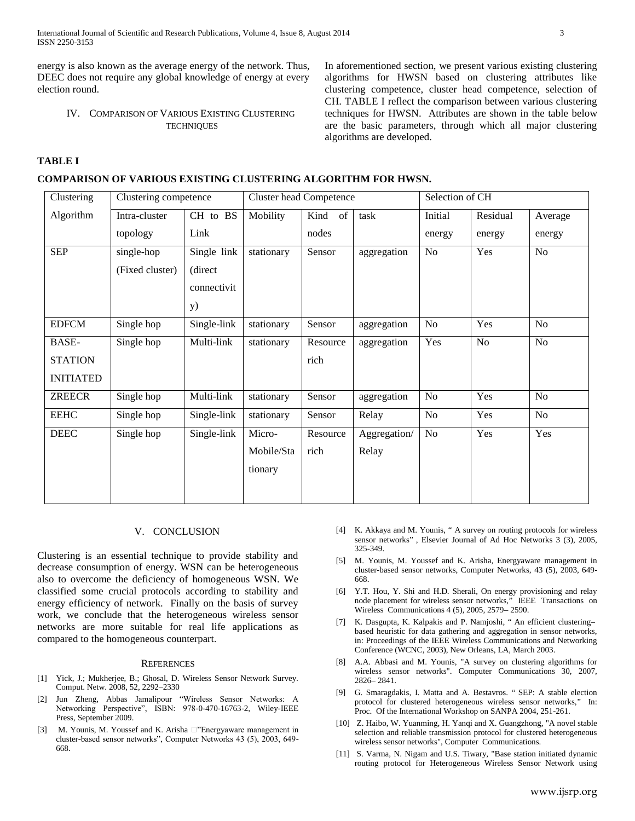International Journal of Scientific and Research Publications, Volume 4, Issue 8, August 2014 3 ISSN 2250-3153

energy is also known as the average energy of the network. Thus, DEEC does not require any global knowledge of energy at every election round.

#### IV. COMPARISON OF VARIOUS EXISTING CLUSTERING **TECHNIQUES**

In aforementioned section, we present various existing clustering algorithms for HWSN based on clustering attributes like clustering competence, cluster head competence, selection of CH. TABLE I reflect the comparison between various clustering techniques for HWSN. Attributes are shown in the table below are the basic parameters, through which all major clustering algorithms are developed.

# **TABLE I**

#### **COMPARISON OF VARIOUS EXISTING CLUSTERING ALGORITHM FOR HWSN.**

| Clustering       | Clustering competence |             | <b>Cluster head Competence</b> |            |              | Selection of CH |          |                |
|------------------|-----------------------|-------------|--------------------------------|------------|--------------|-----------------|----------|----------------|
| Algorithm        | Intra-cluster         | CH to BS    | Mobility                       | Kind<br>of | task         | Initial         | Residual | Average        |
|                  | topology              | Link        |                                | nodes      |              | energy          | energy   | energy         |
| <b>SEP</b>       | single-hop            | Single link | stationary                     | Sensor     | aggregation  | N <sub>o</sub>  | Yes      | No             |
|                  | (Fixed cluster)       | (direct     |                                |            |              |                 |          |                |
|                  |                       | connectivit |                                |            |              |                 |          |                |
|                  |                       | <b>y</b> )  |                                |            |              |                 |          |                |
| <b>EDFCM</b>     | Single hop            | Single-link | stationary                     | Sensor     | aggregation  | No              | Yes      | No             |
| BASE-            | Single hop            | Multi-link  | stationary                     | Resource   | aggregation  | Yes             | No       | No             |
| <b>STATION</b>   |                       |             |                                | rich       |              |                 |          |                |
| <b>INITIATED</b> |                       |             |                                |            |              |                 |          |                |
| <b>ZREECR</b>    | Single hop            | Multi-link  | stationary                     | Sensor     | aggregation  | No              | Yes      | N <sub>o</sub> |
| <b>EEHC</b>      | Single hop            | Single-link | stationary                     | Sensor     | Relay        | No              | Yes      | No             |
| DEEC             | Single hop            | Single-link | Micro-                         | Resource   | Aggregation/ | No              | Yes      | Yes            |
|                  |                       |             | Mobile/Sta                     | rich       | Relay        |                 |          |                |
|                  |                       |             | tionary                        |            |              |                 |          |                |
|                  |                       |             |                                |            |              |                 |          |                |
|                  |                       |             |                                |            |              |                 |          |                |

#### V. CONCLUSION

Clustering is an essential technique to provide stability and decrease consumption of energy. WSN can be heterogeneous also to overcome the deficiency of homogeneous WSN. We classified some crucial protocols according to stability and energy efficiency of network. Finally on the basis of survey work, we conclude that the heterogeneous wireless sensor networks are more suitable for real life applications as compared to the homogeneous counterpart.

#### REFERENCES

- [1] Yick, J.; Mukherjee, B.; Ghosal, D. Wireless Sensor Network Survey. Comput. Netw. 2008, 52, 2292–2330
- [2] Jun Zheng, Abbas Jamalipour "Wireless Sensor Networks: A Networking Perspective", ISBN: 978-0-470-16763-2, Wiley-IEEE Press, September 2009.
- M. Younis, M. Youssef and K. Arisha  $\Box$ "Energyaware management in cluster-based sensor networks", Computer Networks 43 (5), 2003, 649- 668.
- [4] K. Akkaya and M. Younis, " A survey on routing protocols for wireless sensor networks" , Elsevier Journal of Ad Hoc Networks 3 (3), 2005, 325-349.
- [5] M. Younis, M. Youssef and K. Arisha, Energyaware management in cluster-based sensor networks, Computer Networks, 43 (5), 2003, 649- 668.
- [6] Y.T. Hou, Y. Shi and H.D. Sherali, On energy provisioning and relay node placement for wireless sensor networks," IEEE Transactions on Wireless Communications 4 (5), 2005, 2579– 2590.
- [7] K. Dasgupta, K. Kalpakis and P. Namjoshi, " An efficient clustering– based heuristic for data gathering and aggregation in sensor networks, in: Proceedings of the IEEE Wireless Communications and Networking Conference (WCNC, 2003), New Orleans, LA, March 2003.
- [8] A.A. Abbasi and M. Younis, "A survey on clustering algorithms for wireless sensor networks". Computer Communications 30, 2007, 2826– 2841.
- [9] G. Smaragdakis, I. Matta and A. Bestavros. " SEP: A stable election protocol for clustered heterogeneous wireless sensor networks," In: Proc. Of the International Workshop on SANPA 2004, 251-261.
- [10] Z. Haibo, W. Yuanming, H. Yanqi and X. Guangzhong, "A novel stable selection and reliable transmission protocol for clustered heterogeneous wireless sensor networks", Computer Communications.
- [11] S. Varma, N. Nigam and U.S. Tiwary, "Base station initiated dynamic routing protocol for Heterogeneous Wireless Sensor Network using